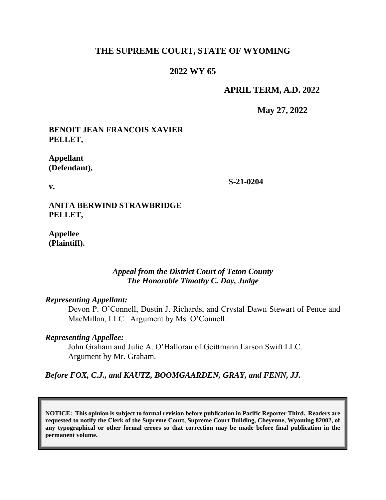### **THE SUPREME COURT, STATE OF WYOMING**

### **2022 WY 65**

#### **APRIL TERM, A.D. 2022**

**May 27, 2022**

### **BENOIT JEAN FRANCOIS XAVIER PELLET,**

**Appellant (Defendant),**

**v.** 

**S-21-0204**

**ANITA BERWIND STRAWBRIDGE PELLET,**

**Appellee (Plaintiff).**

> *Appeal from the District Court of Teton County The Honorable Timothy C. Day, Judge*

## *Representing Appellant:*

Devon P. O'Connell, Dustin J. Richards, and Crystal Dawn Stewart of Pence and MacMillan, LLC. Argument by Ms. O'Connell.

#### *Representing Appellee:*

John Graham and Julie A. O'Halloran of Geittmann Larson Swift LLC. Argument by Mr. Graham.

*Before FOX, C.J., and KAUTZ, BOOMGAARDEN, GRAY, and FENN, JJ.*

**NOTICE: This opinion is subject to formal revision before publication in Pacific Reporter Third. Readers are requested to notify the Clerk of the Supreme Court, Supreme Court Building, Cheyenne, Wyoming 82002, of any typographical or other formal errors so that correction may be made before final publication in the permanent volume.**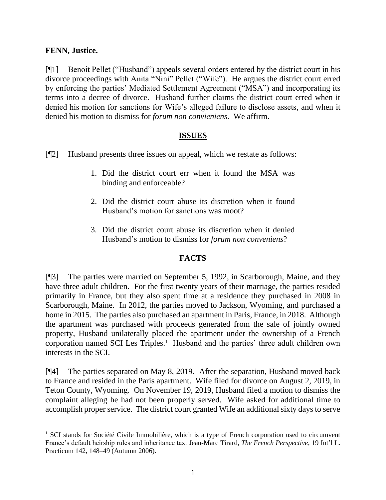## **FENN, Justice.**

[¶1] Benoit Pellet ("Husband") appeals several orders entered by the district court in his divorce proceedings with Anita "Nini" Pellet ("Wife"). He argues the district court erred by enforcing the parties' Mediated Settlement Agreement ("MSA") and incorporating its terms into a decree of divorce. Husband further claims the district court erred when it denied his motion for sanctions for Wife's alleged failure to disclose assets, and when it denied his motion to dismiss for *forum non convieniens*. We affirm.

#### **ISSUES**

- [¶2] Husband presents three issues on appeal, which we restate as follows:
	- 1. Did the district court err when it found the MSA was binding and enforceable?
	- 2. Did the district court abuse its discretion when it found Husband's motion for sanctions was moot?
	- 3. Did the district court abuse its discretion when it denied Husband's motion to dismiss for *forum non conveniens*?

## **FACTS**

[¶3] The parties were married on September 5, 1992, in Scarborough, Maine, and they have three adult children. For the first twenty years of their marriage, the parties resided primarily in France, but they also spent time at a residence they purchased in 2008 in Scarborough, Maine. In 2012, the parties moved to Jackson, Wyoming, and purchased a home in 2015. The parties also purchased an apartment in Paris, France, in 2018. Although the apartment was purchased with proceeds generated from the sale of jointly owned property, Husband unilaterally placed the apartment under the ownership of a French corporation named SCI Les Triples.<sup>1</sup> Husband and the parties' three adult children own interests in the SCI.

[¶4] The parties separated on May 8, 2019. After the separation, Husband moved back to France and resided in the Paris apartment. Wife filed for divorce on August 2, 2019, in Teton County, Wyoming. On November 19, 2019, Husband filed a motion to dismiss the complaint alleging he had not been properly served. Wife asked for additional time to accomplish proper service. The district court granted Wife an additional sixty days to serve

<sup>&</sup>lt;sup>1</sup> SCI stands for Société Civile Immobilière, which is a type of French corporation used to circumvent France's default heirship rules and inheritance tax. Jean-Marc Tirard, *The French Perspective*, 19 Int'l L. Practicum 142, 148–49 (Autumn 2006).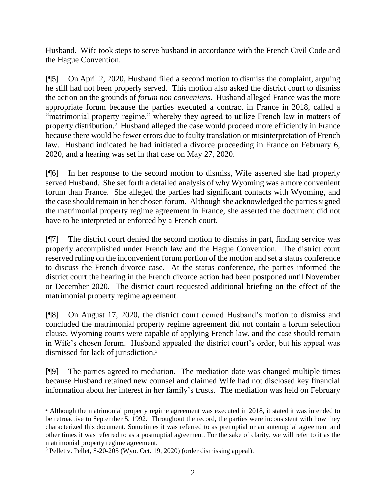Husband. Wife took steps to serve husband in accordance with the French Civil Code and the Hague Convention.

[¶5] On April 2, 2020, Husband filed a second motion to dismiss the complaint, arguing he still had not been properly served. This motion also asked the district court to dismiss the action on the grounds of *forum non conveniens*. Husband alleged France was the more appropriate forum because the parties executed a contract in France in 2018, called a "matrimonial property regime," whereby they agreed to utilize French law in matters of property distribution.<sup>2</sup> Husband alleged the case would proceed more efficiently in France because there would be fewer errors due to faulty translation or misinterpretation of French law. Husband indicated he had initiated a divorce proceeding in France on February 6, 2020, and a hearing was set in that case on May 27, 2020.

[¶6] In her response to the second motion to dismiss, Wife asserted she had properly served Husband. She set forth a detailed analysis of why Wyoming was a more convenient forum than France. She alleged the parties had significant contacts with Wyoming, and the case should remain in her chosen forum. Although she acknowledged the parties signed the matrimonial property regime agreement in France, she asserted the document did not have to be interpreted or enforced by a French court.

[¶7] The district court denied the second motion to dismiss in part, finding service was properly accomplished under French law and the Hague Convention. The district court reserved ruling on the inconvenient forum portion of the motion and set a status conference to discuss the French divorce case. At the status conference, the parties informed the district court the hearing in the French divorce action had been postponed until November or December 2020. The district court requested additional briefing on the effect of the matrimonial property regime agreement.

[¶8] On August 17, 2020, the district court denied Husband's motion to dismiss and concluded the matrimonial property regime agreement did not contain a forum selection clause, Wyoming courts were capable of applying French law, and the case should remain in Wife's chosen forum. Husband appealed the district court's order, but his appeal was dismissed for lack of jurisdiction.<sup>3</sup>

[¶9] The parties agreed to mediation. The mediation date was changed multiple times because Husband retained new counsel and claimed Wife had not disclosed key financial information about her interest in her family's trusts. The mediation was held on February

<sup>&</sup>lt;sup>2</sup> Although the matrimonial property regime agreement was executed in 2018, it stated it was intended to be retroactive to September 5, 1992. Throughout the record, the parties were inconsistent with how they characterized this document. Sometimes it was referred to as prenuptial or an antenuptial agreement and other times it was referred to as a postnuptial agreement. For the sake of clarity, we will refer to it as the matrimonial property regime agreement.

<sup>3</sup> Pellet v. Pellet, S-20-205 (Wyo. Oct. 19, 2020) (order dismissing appeal).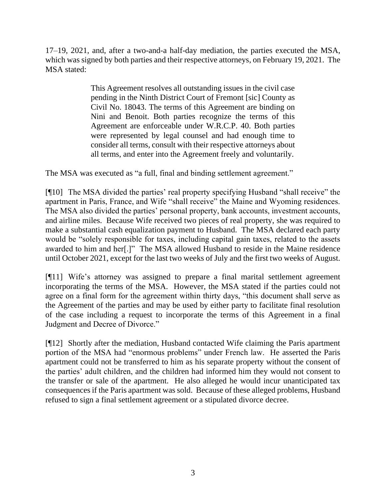17–19, 2021, and, after a two-and-a half-day mediation, the parties executed the MSA, which was signed by both parties and their respective attorneys, on February 19, 2021. The MSA stated:

> This Agreement resolves all outstanding issues in the civil case pending in the Ninth District Court of Fremont [sic] County as Civil No. 18043. The terms of this Agreement are binding on Nini and Benoit. Both parties recognize the terms of this Agreement are enforceable under W.R.C.P. 40. Both parties were represented by legal counsel and had enough time to consider all terms, consult with their respective attorneys about all terms, and enter into the Agreement freely and voluntarily.

The MSA was executed as "a full, final and binding settlement agreement."

[¶10] The MSA divided the parties' real property specifying Husband "shall receive" the apartment in Paris, France, and Wife "shall receive" the Maine and Wyoming residences. The MSA also divided the parties' personal property, bank accounts, investment accounts, and airline miles. Because Wife received two pieces of real property, she was required to make a substantial cash equalization payment to Husband. The MSA declared each party would be "solely responsible for taxes, including capital gain taxes, related to the assets awarded to him and her[.]" The MSA allowed Husband to reside in the Maine residence until October 2021, except for the last two weeks of July and the first two weeks of August.

[¶11] Wife's attorney was assigned to prepare a final marital settlement agreement incorporating the terms of the MSA. However, the MSA stated if the parties could not agree on a final form for the agreement within thirty days, "this document shall serve as the Agreement of the parties and may be used by either party to facilitate final resolution of the case including a request to incorporate the terms of this Agreement in a final Judgment and Decree of Divorce."

[¶12] Shortly after the mediation, Husband contacted Wife claiming the Paris apartment portion of the MSA had "enormous problems" under French law. He asserted the Paris apartment could not be transferred to him as his separate property without the consent of the parties' adult children, and the children had informed him they would not consent to the transfer or sale of the apartment. He also alleged he would incur unanticipated tax consequences if the Paris apartment was sold. Because of these alleged problems, Husband refused to sign a final settlement agreement or a stipulated divorce decree.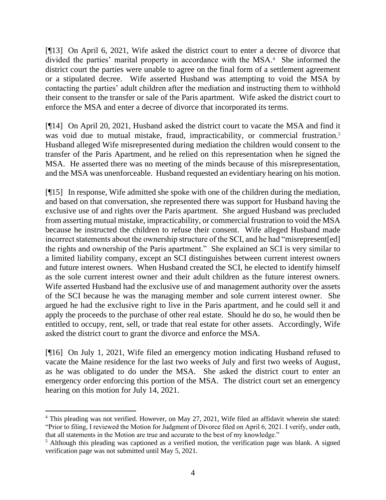[¶13] On April 6, 2021, Wife asked the district court to enter a decree of divorce that divided the parties' marital property in accordance with the MSA.<sup>4</sup> She informed the district court the parties were unable to agree on the final form of a settlement agreement or a stipulated decree. Wife asserted Husband was attempting to void the MSA by contacting the parties' adult children after the mediation and instructing them to withhold their consent to the transfer or sale of the Paris apartment. Wife asked the district court to enforce the MSA and enter a decree of divorce that incorporated its terms.

[¶14] On April 20, 2021, Husband asked the district court to vacate the MSA and find it was void due to mutual mistake, fraud, impracticability, or commercial frustration.<sup>5</sup> Husband alleged Wife misrepresented during mediation the children would consent to the transfer of the Paris Apartment, and he relied on this representation when he signed the MSA. He asserted there was no meeting of the minds because of this misrepresentation, and the MSA was unenforceable. Husband requested an evidentiary hearing on his motion.

[¶15] In response, Wife admitted she spoke with one of the children during the mediation, and based on that conversation, she represented there was support for Husband having the exclusive use of and rights over the Paris apartment. She argued Husband was precluded from asserting mutual mistake, impracticability, or commercial frustration to void the MSA because he instructed the children to refuse their consent. Wife alleged Husband made incorrect statements about the ownership structure of the SCI, and he had "misrepresent[ed] the rights and ownership of the Paris apartment." She explained an SCI is very similar to a limited liability company, except an SCI distinguishes between current interest owners and future interest owners. When Husband created the SCI, he elected to identify himself as the sole current interest owner and their adult children as the future interest owners. Wife asserted Husband had the exclusive use of and management authority over the assets of the SCI because he was the managing member and sole current interest owner. She argued he had the exclusive right to live in the Paris apartment, and he could sell it and apply the proceeds to the purchase of other real estate. Should he do so, he would then be entitled to occupy, rent, sell, or trade that real estate for other assets. Accordingly, Wife asked the district court to grant the divorce and enforce the MSA.

[¶16] On July 1, 2021, Wife filed an emergency motion indicating Husband refused to vacate the Maine residence for the last two weeks of July and first two weeks of August, as he was obligated to do under the MSA. She asked the district court to enter an emergency order enforcing this portion of the MSA. The district court set an emergency hearing on this motion for July 14, 2021.

<sup>&</sup>lt;sup>4</sup> This pleading was not verified. However, on May 27, 2021, Wife filed an affidavit wherein she stated: "Prior to filing, I reviewed the Motion for Judgment of Divorce filed on April 6, 2021. I verify, under oath, that all statements in the Motion are true and accurate to the best of my knowledge."

<sup>&</sup>lt;sup>5</sup> Although this pleading was captioned as a verified motion, the verification page was blank. A signed verification page was not submitted until May 5, 2021.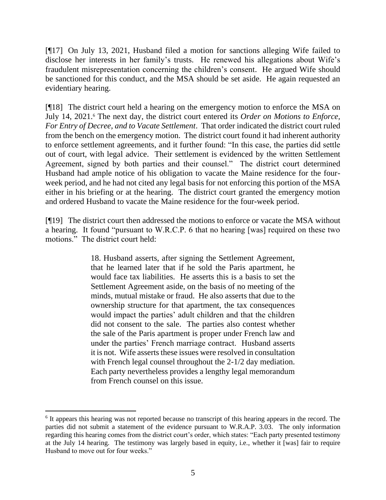[¶17] On July 13, 2021, Husband filed a motion for sanctions alleging Wife failed to disclose her interests in her family's trusts. He renewed his allegations about Wife's fraudulent misrepresentation concerning the children's consent. He argued Wife should be sanctioned for this conduct, and the MSA should be set aside. He again requested an evidentiary hearing.

[¶18] The district court held a hearing on the emergency motion to enforce the MSA on July 14, 2021.<sup>6</sup> The next day, the district court entered its *Order on Motions to Enforce*, *For Entry of Decree, and to Vacate Settlement*. That order indicated the district court ruled from the bench on the emergency motion. The district court found it had inherent authority to enforce settlement agreements, and it further found: "In this case, the parties did settle out of court, with legal advice. Their settlement is evidenced by the written Settlement Agreement, signed by both parties and their counsel." The district court determined Husband had ample notice of his obligation to vacate the Maine residence for the fourweek period, and he had not cited any legal basis for not enforcing this portion of the MSA either in his briefing or at the hearing. The district court granted the emergency motion and ordered Husband to vacate the Maine residence for the four-week period.

[¶19] The district court then addressed the motions to enforce or vacate the MSA without a hearing. It found "pursuant to W.R.C.P. 6 that no hearing [was] required on these two motions." The district court held:

> 18. Husband asserts, after signing the Settlement Agreement, that he learned later that if he sold the Paris apartment, he would face tax liabilities. He asserts this is a basis to set the Settlement Agreement aside, on the basis of no meeting of the minds, mutual mistake or fraud. He also asserts that due to the ownership structure for that apartment, the tax consequences would impact the parties' adult children and that the children did not consent to the sale. The parties also contest whether the sale of the Paris apartment is proper under French law and under the parties' French marriage contract. Husband asserts it is not. Wife asserts these issues were resolved in consultation with French legal counsel throughout the 2-1/2 day mediation. Each party nevertheless provides a lengthy legal memorandum from French counsel on this issue.

<sup>&</sup>lt;sup>6</sup> It appears this hearing was not reported because no transcript of this hearing appears in the record. The parties did not submit a statement of the evidence pursuant to W.R.A.P. 3.03. The only information regarding this hearing comes from the district court's order, which states: "Each party presented testimony at the July 14 hearing. The testimony was largely based in equity, i.e., whether it [was] fair to require Husband to move out for four weeks."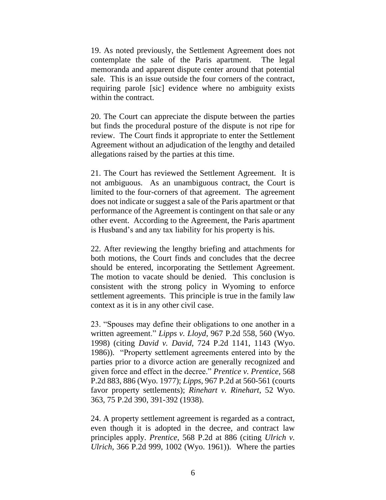19. As noted previously, the Settlement Agreement does not contemplate the sale of the Paris apartment. The legal memoranda and apparent dispute center around that potential sale. This is an issue outside the four corners of the contract, requiring parole [sic] evidence where no ambiguity exists within the contract.

20. The Court can appreciate the dispute between the parties but finds the procedural posture of the dispute is not ripe for review. The Court finds it appropriate to enter the Settlement Agreement without an adjudication of the lengthy and detailed allegations raised by the parties at this time.

21. The Court has reviewed the Settlement Agreement. It is not ambiguous. As an unambiguous contract, the Court is limited to the four-corners of that agreement. The agreement does not indicate or suggest a sale of the Paris apartment or that performance of the Agreement is contingent on that sale or any other event. According to the Agreement, the Paris apartment is Husband's and any tax liability for his property is his.

22. After reviewing the lengthy briefing and attachments for both motions, the Court finds and concludes that the decree should be entered, incorporating the Settlement Agreement. The motion to vacate should be denied. This conclusion is consistent with the strong policy in Wyoming to enforce settlement agreements. This principle is true in the family law context as it is in any other civil case.

23. "Spouses may define their obligations to one another in a written agreement." *Lipps v. Lloyd*, 967 P.2d 558, 560 (Wyo. 1998) (citing *David v. David*, 724 P.2d 1141, 1143 (Wyo. 1986)). "Property settlement agreements entered into by the parties prior to a divorce action are generally recognized and given force and effect in the decree." *Prentice v. Prentice*, 568 P.2d 883, 886 (Wyo. 1977); *Lipps*, 967 P.2d at 560-561 (courts favor property settlements); *Rinehart v. Rinehart*, 52 Wyo. 363, 75 P.2d 390, 391-392 (1938).

24. A property settlement agreement is regarded as a contract, even though it is adopted in the decree, and contract law principles apply. *Prentice*, 568 P.2d at 886 (citing *Ulrich v. Ulrich*, 366 P.2d 999, 1002 (Wyo. 1961)). Where the parties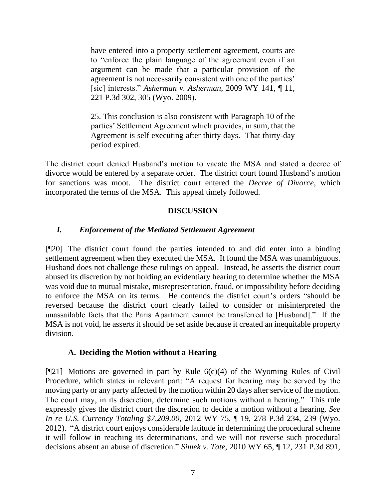have entered into a property settlement agreement, courts are to "enforce the plain language of the agreement even if an argument can be made that a particular provision of the agreement is not necessarily consistent with one of the parties' [sic] interests." *Asherman v. Asherman*, 2009 WY 141, ¶ 11, 221 P.3d 302, 305 (Wyo. 2009).

25. This conclusion is also consistent with Paragraph 10 of the parties' Settlement Agreement which provides, in sum, that the Agreement is self executing after thirty days. That thirty-day period expired.

The district court denied Husband's motion to vacate the MSA and stated a decree of divorce would be entered by a separate order. The district court found Husband's motion for sanctions was moot. The district court entered the *Decree of Divorce*, which incorporated the terms of the MSA. This appeal timely followed.

# **DISCUSSION**

# *I. Enforcement of the Mediated Settlement Agreement*

[¶20] The district court found the parties intended to and did enter into a binding settlement agreement when they executed the MSA. It found the MSA was unambiguous. Husband does not challenge these rulings on appeal. Instead, he asserts the district court abused its discretion by not holding an evidentiary hearing to determine whether the MSA was void due to mutual mistake, misrepresentation, fraud, or impossibility before deciding to enforce the MSA on its terms. He contends the district court's orders "should be reversed because the district court clearly failed to consider or misinterpreted the unassailable facts that the Paris Apartment cannot be transferred to [Husband]." If the MSA is not void, he asserts it should be set aside because it created an inequitable property division.

## **A. Deciding the Motion without a Hearing**

 $[$ [[21] Motions are governed in part by Rule 6(c)(4) of the Wyoming Rules of Civil Procedure, which states in relevant part: "A request for hearing may be served by the moving party or any party affected by the motion within 20 days after service of the motion. The court may, in its discretion, determine such motions without a hearing." This rule expressly gives the district court the discretion to decide a motion without a hearing. *See In re U.S. Currency Totaling \$7,209.00*, 2012 WY 75, ¶ 19, 278 P.3d 234, 239 (Wyo. 2012). "A district court enjoys considerable latitude in determining the procedural scheme it will follow in reaching its determinations, and we will not reverse such procedural decisions absent an abuse of discretion." *Simek v. Tate*, 2010 WY 65, ¶ 12, 231 P.3d 891,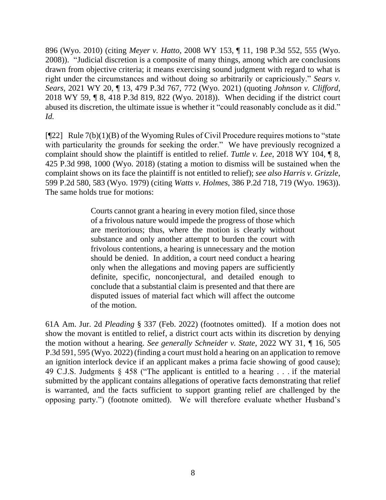896 (Wyo. 2010) (citing *Meyer v. Hatto*, 2008 WY 153, ¶ 11, 198 P.3d 552, 555 (Wyo. 2008)). "Judicial discretion is a composite of many things, among which are conclusions drawn from objective criteria; it means exercising sound judgment with regard to what is right under the circumstances and without doing so arbitrarily or capriciously." *Sears v. Sears,* 2021 WY 20, ¶ 13, 479 P.3d 767, 772 (Wyo. 2021) (quoting *Johnson v. Clifford*, 2018 WY 59, ¶ 8, 418 P.3d 819, 822 (Wyo. 2018)). When deciding if the district court abused its discretion, the ultimate issue is whether it "could reasonably conclude as it did." *Id.*

 $[$ [[22] Rule 7(b)(1)(B) of the Wyoming Rules of Civil Procedure requires motions to "state" with particularity the grounds for seeking the order." We have previously recognized a complaint should show the plaintiff is entitled to relief. *Tuttle v. Lee*, 2018 WY 104, ¶ 8, 425 P.3d 998, 1000 (Wyo. 2018) (stating a motion to dismiss will be sustained when the complaint shows on its face the plaintiff is not entitled to relief); *see also Harris v. Grizzle*, 599 P.2d 580, 583 (Wyo. 1979) (citing *Watts v. Holmes*, 386 P.2d 718, 719 (Wyo. 1963)). The same holds true for motions:

> Courts cannot grant a hearing in every motion filed, since those of a frivolous nature would impede the progress of those which are meritorious; thus, where the motion is clearly without substance and only another attempt to burden the court with frivolous contentions, a hearing is unnecessary and the motion should be denied. In addition, a court need conduct a hearing only when the allegations and moving papers are sufficiently definite, specific, nonconjectural, and detailed enough to conclude that a substantial claim is presented and that there are disputed issues of material fact which will affect the outcome of the motion.

61A Am. Jur. 2d *Pleading* § 337 (Feb. 2022) (footnotes omitted). If a motion does not show the movant is entitled to relief, a district court acts within its discretion by denying the motion without a hearing. *See generally Schneider v. State*, 2022 WY 31, *¶* 16, 505 P.3d 591, 595 (Wyo. 2022) (finding a court must hold a hearing on an application to remove an ignition interlock device if an applicant makes a prima facie showing of good cause); 49 C.J.S. Judgments § 458 ("The applicant is entitled to a hearing . . . if the material submitted by the applicant contains allegations of operative facts demonstrating that relief is warranted, and the facts sufficient to support granting relief are challenged by the opposing party.") (footnote omitted). We will therefore evaluate whether Husband's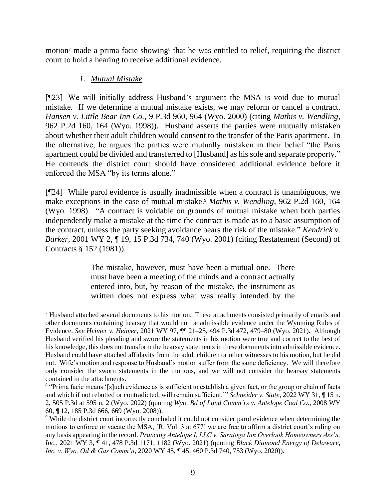motion<sup>7</sup> made a prima facie showing<sup>8</sup> that he was entitled to relief, requiring the district court to hold a hearing to receive additional evidence.

# *1. Mutual Mistake*

[¶23] We will initially address Husband's argument the MSA is void due to mutual mistake*.* If we determine a mutual mistake exists, we may reform or cancel a contract. *Hansen v. Little Bear Inn Co.*, 9 P.3d 960, 964 (Wyo. 2000) (citing *Mathis v. Wendling*, 962 P.2d 160, 164 (Wyo. 1998)). Husband asserts the parties were mutually mistaken about whether their adult children would consent to the transfer of the Paris apartment. In the alternative, he argues the parties were mutually mistaken in their belief "the Paris apartment could be divided and transferred to [Husband] as his sole and separate property." He contends the district court should have considered additional evidence before it enforced the MSA "by its terms alone."

[¶24] While parol evidence is usually inadmissible when a contract is unambiguous, we make exceptions in the case of mutual mistake.<sup>9</sup> *Mathis v. Wendling*, 962 P.2d 160, 164 (Wyo. 1998). "A contract is voidable on grounds of mutual mistake when both parties independently make a mistake at the time the contract is made as to a basic assumption of the contract, unless the party seeking avoidance bears the risk of the mistake." *Kendrick v. Barker*, 2001 WY 2, ¶ 19, 15 P.3d 734, 740 (Wyo. 2001) (citing Restatement (Second) of Contracts § 152 (1981)).

> The mistake, however, must have been a mutual one. There must have been a meeting of the minds and a contract actually entered into, but, by reason of the mistake, the instrument as written does not express what was really intended by the

<sup>7</sup> Husband attached several documents to his motion. These attachments consisted primarily of emails and other documents containing hearsay that would not be admissible evidence under the Wyoming Rules of Evidence. *See Heimer v. Heimer*, 2021 WY 97, ¶¶ 21–25, 494 P.3d 472, 479–80 (Wyo. 2021). Although Husband verified his pleading and swore the statements in his motion were true and correct to the best of his knowledge, this does not transform the hearsay statements in these documents into admissible evidence. Husband could have attached affidavits from the adult children or other witnesses to his motion, but he did not. Wife's motion and response to Husband's motion suffer from the same deficiency. We will therefore only consider the sworn statements in the motions, and we will not consider the hearsay statements contained in the attachments.

<sup>&</sup>lt;sup>8</sup> "Prima facie means '[s]uch evidence as is sufficient to establish a given fact, or the group or chain of facts and which if not rebutted or contradicted, will remain sufficient.'" *Schneider v. State*, 2022 WY 31, ¶ 15 n. 2, 505 P.3d at 595 n. 2 (Wyo. 2022) (quoting *Wyo. Bd of Land Comm'rs v. Antelope Coal Co*., 2008 WY 60, ¶ 12, 185 P.3d 666, 669 (Wyo. 2008)).

<sup>&</sup>lt;sup>9</sup> While the district court incorrectly concluded it could not consider parol evidence when determining the motions to enforce or vacate the MSA, [R. Vol. 3 at 677] we are free to affirm a district court's ruling on any basis appearing in the record. *Prancing Antelope I, LLC v. Saratoga Inn Overlook Homeowners Ass'n, Inc.*, 2021 WY 3, ¶ 41, 478 P.3d 1171, 1182 (Wyo. 2021) (quoting *Black Diamond Energy of Delaware, Inc. v. Wyo. Oil & Gas Comm'n*, 2020 WY 45, ¶ 45, 460 P.3d 740, 753 (Wyo. 2020)).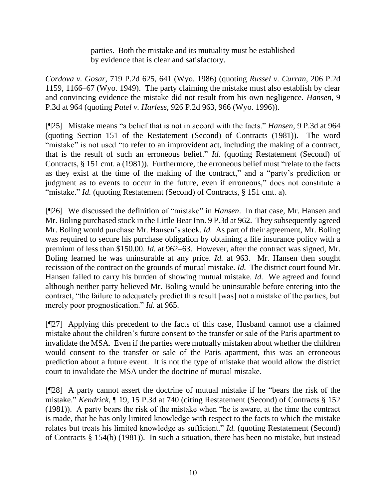parties. Both the mistake and its mutuality must be established by evidence that is clear and satisfactory.

*Cordova v. Gosar*, 719 P.2d 625, 641 (Wyo. 1986) (quoting *Russel v. Curran*, 206 P.2d 1159, 1166–67 (Wyo. 1949). The party claiming the mistake must also establish by clear and convincing evidence the mistake did not result from his own negligence. *Hansen,* 9 P.3d at 964 (quoting *Patel v. Harless*, 926 P.2d 963, 966 (Wyo. 1996)).

[¶25] Mistake means "a belief that is not in accord with the facts." *Hansen*, 9 P.3d at 964 (quoting Section 151 of the Restatement (Second) of Contracts (1981)). The word "mistake" is not used "to refer to an improvident act, including the making of a contract, that is the result of such an erroneous belief." *Id.* (quoting Restatement (Second) of Contracts, § 151 cmt. a (1981)). Furthermore, the erroneous belief must "relate to the facts as they exist at the time of the making of the contract," and a "party's prediction or judgment as to events to occur in the future, even if erroneous," does not constitute a "mistake." *Id.* (quoting Restatement (Second) of Contracts, § 151 cmt. a).

[¶26] We discussed the definition of "mistake" in *Hansen*. In that case, Mr. Hansen and Mr. Boling purchased stock in the Little Bear Inn. 9 P.3d at 962. They subsequently agreed Mr. Boling would purchase Mr. Hansen's stock. *Id.* As part of their agreement, Mr. Boling was required to secure his purchase obligation by obtaining a life insurance policy with a premium of less than \$150.00. *Id.* at 962–63. However, after the contract was signed, Mr. Boling learned he was uninsurable at any price. *Id.* at 963. Mr. Hansen then sought recission of the contract on the grounds of mutual mistake. *Id.* The district court found Mr. Hansen failed to carry his burden of showing mutual mistake. *Id.* We agreed and found although neither party believed Mr. Boling would be uninsurable before entering into the contract, "the failure to adequately predict this result [was] not a mistake of the parties, but merely poor prognostication." *Id.* at 965.

[¶27] Applying this precedent to the facts of this case, Husband cannot use a claimed mistake about the children's future consent to the transfer or sale of the Paris apartment to invalidate the MSA. Even if the parties were mutually mistaken about whether the children would consent to the transfer or sale of the Paris apartment, this was an erroneous prediction about a future event. It is not the type of mistake that would allow the district court to invalidate the MSA under the doctrine of mutual mistake.

[¶28] A party cannot assert the doctrine of mutual mistake if he "bears the risk of the mistake." *Kendrick*, ¶ 19, 15 P.3d at 740 (citing Restatement (Second) of Contracts § 152 (1981)). A party bears the risk of the mistake when "he is aware, at the time the contract is made, that he has only limited knowledge with respect to the facts to which the mistake relates but treats his limited knowledge as sufficient." *Id.* (quoting Restatement (Second) of Contracts § 154(b) (1981)). In such a situation, there has been no mistake, but instead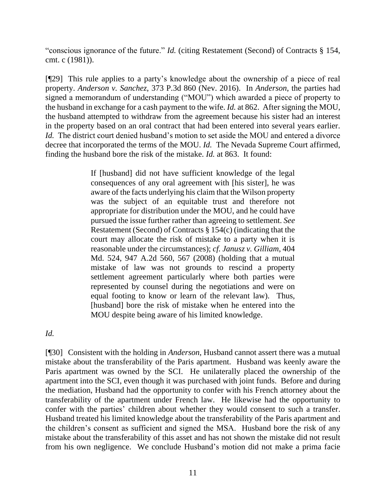"conscious ignorance of the future." *Id.* (citing Restatement (Second) of Contracts § 154, cmt. c (1981)).

[¶29] This rule applies to a party's knowledge about the ownership of a piece of real property. *Anderson v. Sanchez*, 373 P.3d 860 (Nev. 2016). In *Anderson*, the parties had signed a memorandum of understanding ("MOU") which awarded a piece of property to the husband in exchange for a cash payment to the wife. *Id.* at 862. After signing the MOU, the husband attempted to withdraw from the agreement because his sister had an interest in the property based on an oral contract that had been entered into several years earlier. *Id.* The district court denied husband's motion to set aside the MOU and entered a divorce decree that incorporated the terms of the MOU. *Id.* The Nevada Supreme Court affirmed, finding the husband bore the risk of the mistake. *Id.* at 863. It found:

> If [husband] did not have sufficient knowledge of the legal consequences of any oral agreement with [his sister], he was aware of the facts underlying his claim that the Wilson property was the subject of an equitable trust and therefore not appropriate for distribution under the MOU, and he could have pursued the issue further rather than agreeing to settlement. *See* Restatement (Second) of Contracts § 154(c) (indicating that the court may allocate the risk of mistake to a party when it is reasonable under the circumstances); *cf. Janusz v. Gilliam*, 404 Md. 524, 947 A.2d 560, 567 (2008) (holding that a mutual mistake of law was not grounds to rescind a property settlement agreement particularly where both parties were represented by counsel during the negotiations and were on equal footing to know or learn of the relevant law). Thus, [husband] bore the risk of mistake when he entered into the MOU despite being aware of his limited knowledge.

*Id.*

[¶30] Consistent with the holding in *Anderson*, Husband cannot assert there was a mutual mistake about the transferability of the Paris apartment. Husband was keenly aware the Paris apartment was owned by the SCI. He unilaterally placed the ownership of the apartment into the SCI, even though it was purchased with joint funds. Before and during the mediation, Husband had the opportunity to confer with his French attorney about the transferability of the apartment under French law. He likewise had the opportunity to confer with the parties' children about whether they would consent to such a transfer. Husband treated his limited knowledge about the transferability of the Paris apartment and the children's consent as sufficient and signed the MSA. Husband bore the risk of any mistake about the transferability of this asset and has not shown the mistake did not result from his own negligence. We conclude Husband's motion did not make a prima facie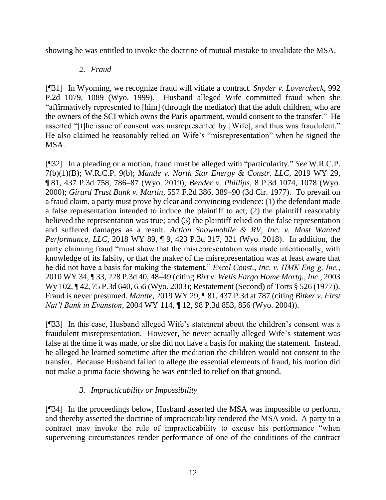showing he was entitled to invoke the doctrine of mutual mistake to invalidate the MSA.

# *2. Fraud*

[¶31] In Wyoming, we recognize fraud will vitiate a contract. *Snyder v. Lovercheck*, 992 P.2d 1079, 1089 (Wyo. 1999). Husband alleged Wife committed fraud when she "affirmatively represented to [him] (through the mediator) that the adult children, who are the owners of the SCI which owns the Paris apartment, would consent to the transfer." He asserted "[t]he issue of consent was misrepresented by [Wife], and thus was fraudulent." He also claimed he reasonably relied on Wife's "misrepresentation" when he signed the MSA.

[¶32] In a pleading or a motion, fraud must be alleged with "particularity." *See* W.R.C.P. 7(b)(1)(B); W.R.C.P. 9(b); *Mantle v. North Star Energy & Constr. LLC*, 2019 WY 29, ¶ 81, 437 P.3d 758, 786–87 (Wyo. 2019); *Bender v. Phillips*, 8 P.3d 1074, 1078 (Wyo. 2000); *Girard Trust Bank v. Martin*, 557 F.2d 386, 389–90 (3d Cir. 1977). To prevail on a fraud claim, a party must prove by clear and convincing evidence: (1) the defendant made a false representation intended to induce the plaintiff to act; (2) the plaintiff reasonably believed the representation was true; and (3) the plaintiff relied on the false representation and suffered damages as a result. *[Action Snowmobile & RV, Inc. v. Most Wanted](http://www.westlaw.com/Link/Document/FullText?findType=Y&serNum=2045189229&pubNum=0004645&originatingDoc=Iae9cf0c0452811e9bc469b767245e66a&refType=RP&fi=co_pp_sp_4645_321&originationContext=document&vr=3.0&rs=cblt1.0&transitionType=DocumentItem&contextData=(sc.UserEnteredCitation)#co_pp_sp_4645_321)  Performance, LLC*[, 2018 WY 89, ¶ 9, 423 P.3d 317, 321 \(Wyo. 2018\).](http://www.westlaw.com/Link/Document/FullText?findType=Y&serNum=2045189229&pubNum=0004645&originatingDoc=Iae9cf0c0452811e9bc469b767245e66a&refType=RP&fi=co_pp_sp_4645_321&originationContext=document&vr=3.0&rs=cblt1.0&transitionType=DocumentItem&contextData=(sc.UserEnteredCitation)#co_pp_sp_4645_321) In addition, the party claiming fraud "must show that the misrepresentation was made intentionally, with knowledge of its falsity, or that the maker of the misrepresentation was at least aware that he did not have a basis for making the statement." *Excel Const., Inc. v. HMK Eng'g, Inc.*, 2010 WY 34, ¶ 33, 228 P.3d 40, 48–49 (citing *Birt v. Wells Fargo Home Mortg., Inc.*, 2003 Wy 102, ¶ 42, 75 P.3d 640, 656 (Wyo. 2003); Restatement (Second) of Torts § 526 (1977)). Fraud is never presumed. *Mantle*, 2019 WY 29, ¶ 81, 437 P.3d at 787 (citing *Bitker v. First Nat'l Bank in Evanston*, 2004 WY 114, ¶ 12, 98 P.3d 853, 856 (Wyo. 2004)).

[¶33] In this case, Husband alleged Wife's statement about the children's consent was a fraudulent misrepresentation. However, he never actually alleged Wife's statement was false at the time it was made, or she did not have a basis for making the statement. Instead, he alleged he learned sometime after the mediation the children would not consent to the transfer. Because Husband failed to allege the essential elements of fraud, his motion did not make a prima facie showing he was entitled to relief on that ground.

# *3. Impracticability or Impossibility*

[¶34] In the proceedings below, Husband asserted the MSA was impossible to perform, and thereby asserted the doctrine of impracticability rendered the MSA void. A party to a contract may invoke the rule of impracticability to excuse his performance "when supervening circumstances render performance of one of the conditions of the contract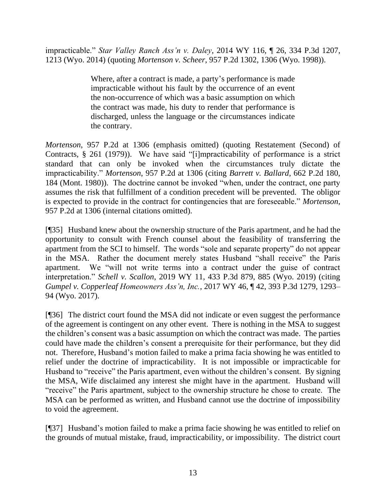impracticable." *Star Valley Ranch Ass'n v. Daley*, 2014 WY 116, ¶ 26, 334 P.3d 1207, 1213 (Wyo. 2014) (quoting *Mortenson v. Scheer*, 957 P.2d 1302, 1306 (Wyo. 1998)).

> Where, after a contract is made, a party's performance is made impracticable without his fault by the occurrence of an event the non-occurrence of which was a basic assumption on which the contract was made, his duty to render that performance is discharged, unless the language or the circumstances indicate the contrary.

*Mortenson*, 957 P.2d at 1306 (emphasis omitted) (quoting Restatement (Second) of Contracts, § 261 (1979)). We have said "[i]mpracticability of performance is a strict standard that can only be invoked when the circumstances truly dictate the impracticability." *Mortenson*, 957 P.2d at 1306 (citing *Barrett v. Ballard*, 662 P.2d 180, 184 (Mont. 1980)). The doctrine cannot be invoked "when, under the contract, one party assumes the risk that fulfillment of a condition precedent will be prevented. The obligor is expected to provide in the contract for contingencies that are foreseeable." *Mortenson*, 957 P.2d at 1306 (internal citations omitted).

[¶35] Husband knew about the ownership structure of the Paris apartment, and he had the opportunity to consult with French counsel about the feasibility of transferring the apartment from the SCI to himself. The words "sole and separate property" do not appear in the MSA. Rather the document merely states Husband "shall receive" the Paris apartment. We "will not write terms into a contract under the guise of contract interpretation." *Schell v. Scallon*, 2019 WY 11, 433 P.3d 879, 885 (Wyo. 2019) (citing *Gumpel v. Copperleaf Homeowners Ass'n, Inc.*, 2017 WY 46, ¶ 42, 393 P.3d 1279, 1293– 94 (Wyo. 2017).

[¶36] The district court found the MSA did not indicate or even suggest the performance of the agreement is contingent on any other event. There is nothing in the MSA to suggest the children's consent was a basic assumption on which the contract was made. The parties could have made the children's consent a prerequisite for their performance, but they did not. Therefore, Husband's motion failed to make a prima facia showing he was entitled to relief under the doctrine of impracticability. It is not impossible or impracticable for Husband to "receive" the Paris apartment, even without the children's consent. By signing the MSA, Wife disclaimed any interest she might have in the apartment. Husband will "receive" the Paris apartment, subject to the ownership structure he chose to create. The MSA can be performed as written, and Husband cannot use the doctrine of impossibility to void the agreement.

[¶37] Husband's motion failed to make a prima facie showing he was entitled to relief on the grounds of mutual mistake, fraud, impracticability, or impossibility. The district court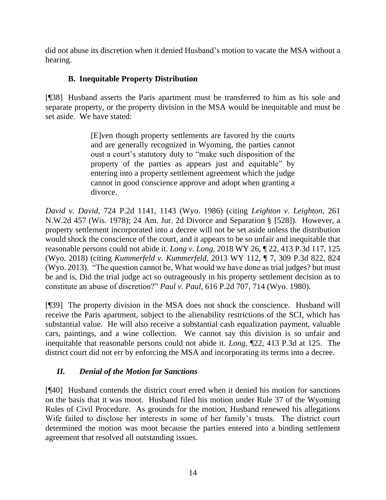did not abuse its discretion when it denied Husband's motion to vacate the MSA without a hearing.

# **B. Inequitable Property Distribution**

[¶38] Husband asserts the Paris apartment must be transferred to him as his sole and separate property, or the property division in the MSA would be inequitable and must be set aside. We have stated:

> [E]ven though property settlements are favored by the courts and are generally recognized in Wyoming, the parties cannot oust a court's statutory duty to "make such disposition of the property of the parties as appears just and equitable" by entering into a property settlement agreement which the judge cannot in good conscience approve and adopt when granting a divorce.

*David v. David*, 724 P.2d 1141, 1143 (Wyo. 1986) (citing *Leighton v. Leighton*, 261 N.W.2d 457 (Wis. 1978); 24 Am. Jur. 2d Divorce and Separation § [528]). However, a property settlement incorporated into a decree will not be set aside unless the distribution would shock the conscience of the court, and it appears to be so unfair and inequitable that reasonable persons could not abide it. *Long v. Long*, 2018 WY 26, ¶ 22, 413 P.3d 117, 125 (Wyo. 2018) (citing *Kummerfeld v. Kummerfeld*, 2013 WY 112, ¶ 7, 309 P.3d 822, 824 (Wyo. 2013). "The question cannot be, What would we have done as trial judges? but must be and is, Did the trial judge act so outrageously in his property settlement decision as to constitute an abuse of discretion?" *Paul v. Paul*, 616 P.2d 707, 714 (Wyo. 1980).

[¶39] The property division in the MSA does not shock the conscience. Husband will receive the Paris apartment, subject to the alienability restrictions of the SCI, which has substantial value. He will also receive a substantial cash equalization payment, valuable cars, paintings, and a wine collection. We cannot say this division is so unfair and inequitable that reasonable persons could not abide it. *Long,* ¶22, 413 P.3d at 125. The district court did not err by enforcing the MSA and incorporating its terms into a decree.

# *II. Denial of the Motion for Sanctions*

[¶40] Husband contends the district court erred when it denied his motion for sanctions on the basis that it was moot. Husband filed his motion under Rule 37 of the Wyoming Rules of Civil Procedure. As grounds for the motion, Husband renewed his allegations Wife failed to disclose her interests in some of her family's trusts. The district court determined the motion was moot because the parties entered into a binding settlement agreement that resolved all outstanding issues.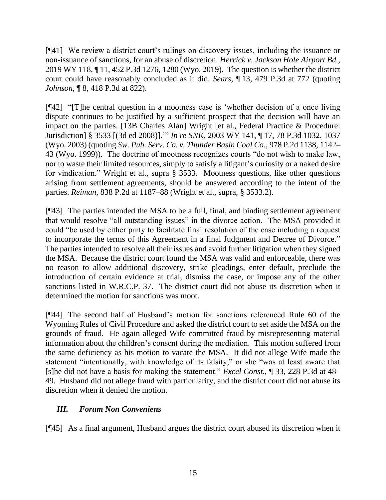[¶41] We review a district court's rulings on discovery issues, including the issuance or non-issuance of sanctions, for an abuse of discretion. *Herrick v. Jackson Hole Airport Bd.*, 2019 WY 118, ¶ 11, 452 P.3d 1276, 1280 (Wyo. 2019). The question is whether the district court could have reasonably concluded as it did. *Sears,* ¶ 13, 479 P.3d at 772 (quoting *Johnson,* ¶ 8, 418 P.3d at 822).

[¶42] "[T]he central question in a mootness case is 'whether decision of a once living dispute continues to be justified by a sufficient prospect that the decision will have an impact on the parties. [13B Charles Alan] Wright [et al., Federal Practice & Procedure: Jurisdiction] § 3533 [(3d ed 2008)].'" *In re SNK*, 2003 WY 141, ¶ 17, 78 P.3d 1032, 1037 (Wyo. 2003) (quoting *Sw. Pub. Serv. Co. v. Thunder Basin Coal Co.*, 978 P.2d 1138, 1142– 43 (Wyo. 1999)). The doctrine of mootness recognizes courts "do not wish to make law, nor to waste their limited resources, simply to satisfy a litigant's curiosity or a naked desire for vindication." Wright et al., supra § 3533. Mootness questions, like other questions arising from settlement agreements, should be answered according to the intent of the parties. *Reiman*, 838 P.2d at 1187–88 (Wright et al., supra, § 3533.2).

[¶43] The parties intended the MSA to be a full, final, and binding settlement agreement that would resolve "all outstanding issues" in the divorce action. The MSA provided it could "be used by either party to facilitate final resolution of the case including a request to incorporate the terms of this Agreement in a final Judgment and Decree of Divorce." The parties intended to resolve all their issues and avoid further litigation when they signed the MSA. Because the district court found the MSA was valid and enforceable, there was no reason to allow additional discovery, strike pleadings, enter default, preclude the introduction of certain evidence at trial, dismiss the case, or impose any of the other sanctions listed in W.R.C.P. 37. The district court did not abuse its discretion when it determined the motion for sanctions was moot.

[¶44] The second half of Husband's motion for sanctions referenced Rule 60 of the Wyoming Rules of Civil Procedure and asked the district court to set aside the MSA on the grounds of fraud. He again alleged Wife committed fraud by misrepresenting material information about the children's consent during the mediation. This motion suffered from the same deficiency as his motion to vacate the MSA. It did not allege Wife made the statement "intentionally, with knowledge of its falsity," or she "was at least aware that [s]he did not have a basis for making the statement." *Excel Const.,* ¶ 33, 228 P.3d at 48– 49. Husband did not allege fraud with particularity, and the district court did not abuse its discretion when it denied the motion.

# *III. Forum Non Conveniens*

[¶45] As a final argument, Husband argues the district court abused its discretion when it